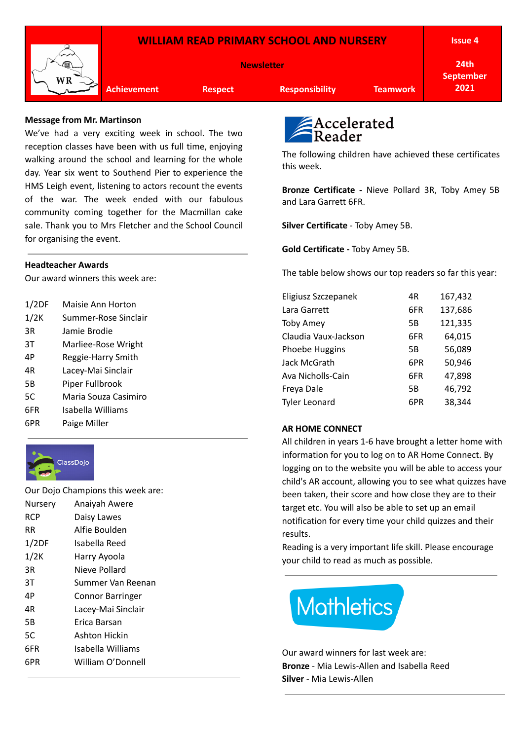

## **Message from Mr. Martinson**

We've had a very exciting week in school. The two reception classes have been with us full time, enjoying walking around the school and learning for the whole day. Year six went to Southend Pier to experience the HMS Leigh event, listening to actors recount the events of the war. The week ended with our fabulous community coming together for the Macmillan cake sale. Thank you to Mrs Fletcher and the School Council for organising the event.

## **Headteacher Awards**

Our award winners this week are:

| 1/2DF | Maisie Ann Horton    |
|-------|----------------------|
| 1/2K  | Summer-Rose Sinclair |
| 3R    | Jamie Brodie         |
| 3T    | Marliee-Rose Wright  |
| 4Р    | Reggie-Harry Smith   |
| 4R    | Lacey-Mai Sinclair   |
| 5B    | Piper Fullbrook      |
| 5C    | Maria Souza Casimiro |
| 6FR   | Isabella Williams    |
| 6PR   | Paige Miller         |



Our Dojo Champions this week are: Nursery Anaiyah Awere RCP Daisy Lawes RR Alfie Boulden 1/2DF Isabella Reed 1/2K Harry Ayoola 3R Nieve Pollard 3T Summer Van Reenan 4P Connor Barringer 4R Lacey-Mai Sinclair 5B Erica Barsan 5C Ashton Hickin 6FR Isabella Williams 6PR William O'Donnell



The following children have achieved these certificates this week.

**Bronze Certificate -** Nieve Pollard 3R, Toby Amey 5B and Lara Garrett 6FR.

**Silver Certificate** - Toby Amey 5B.

**Gold Certificate -** Toby Amey 5B.

The table below shows our top readers so far this year:

| Eligiusz Szczepanek  | 4R  | 167,432 |
|----------------------|-----|---------|
| Lara Garrett         | 6FR | 137,686 |
| <b>Toby Amey</b>     | 5B  | 121,335 |
| Claudia Vaux-Jackson | 6FR | 64,015  |
| Phoebe Huggins       | 5Β  | 56,089  |
| Jack McGrath         | 6PR | 50,946  |
| Ava Nicholls-Cain    | 6FR | 47,898  |
| Freya Dale           | 5Β  | 46,792  |
| <b>Tyler Leonard</b> | 6PR | 38,344  |

## **AR HOME CONNECT**

All children in years 1-6 have brought a letter home with information for you to log on to AR Home Connect. By logging on to the website you will be able to access your child's AR account, allowing you to see what quizzes have been taken, their score and how close they are to their target etc. You will also be able to set up an email notification for every time your child quizzes and their results.

Reading is a very important life skill. Please encourage your child to read as much as possible.



Our award winners for last week are: **Bronze** - Mia Lewis-Allen and Isabella Reed **Silver** - Mia Lewis-Allen